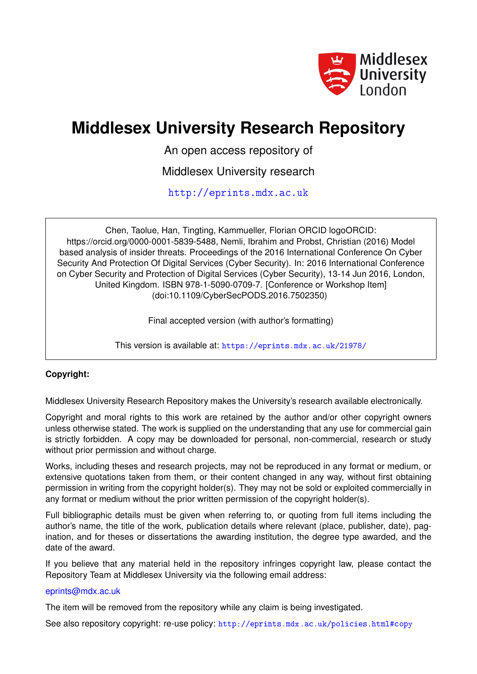

# **Middlesex University Research Repository**

An open access repository of

Middlesex University research

<http://eprints.mdx.ac.uk>

Chen, Taolue, Han, Tingting, Kammueller, Florian ORCID logoORCID: https://orcid.org/0000-0001-5839-5488, Nemli, Ibrahim and Probst, Christian (2016) Model based analysis of insider threats. Proceedings of the 2016 International Conference On Cyber Security And Protection Of Digital Services (Cyber Security). In: 2016 International Conference on Cyber Security and Protection of Digital Services (Cyber Security), 13-14 Jun 2016, London, United Kingdom. ISBN 978-1-5090-0709-7. [Conference or Workshop Item] (doi:10.1109/CyberSecPODS.2016.7502350)

Final accepted version (with author's formatting)

This version is available at: <https://eprints.mdx.ac.uk/21978/>

## **Copyright:**

Middlesex University Research Repository makes the University's research available electronically.

Copyright and moral rights to this work are retained by the author and/or other copyright owners unless otherwise stated. The work is supplied on the understanding that any use for commercial gain is strictly forbidden. A copy may be downloaded for personal, non-commercial, research or study without prior permission and without charge.

Works, including theses and research projects, may not be reproduced in any format or medium, or extensive quotations taken from them, or their content changed in any way, without first obtaining permission in writing from the copyright holder(s). They may not be sold or exploited commercially in any format or medium without the prior written permission of the copyright holder(s).

Full bibliographic details must be given when referring to, or quoting from full items including the author's name, the title of the work, publication details where relevant (place, publisher, date), pagination, and for theses or dissertations the awarding institution, the degree type awarded, and the date of the award.

If you believe that any material held in the repository infringes copyright law, please contact the Repository Team at Middlesex University via the following email address:

### [eprints@mdx.ac.uk](mailto:eprints@mdx.ac.uk)

The item will be removed from the repository while any claim is being investigated.

See also repository copyright: re-use policy: <http://eprints.mdx.ac.uk/policies.html#copy>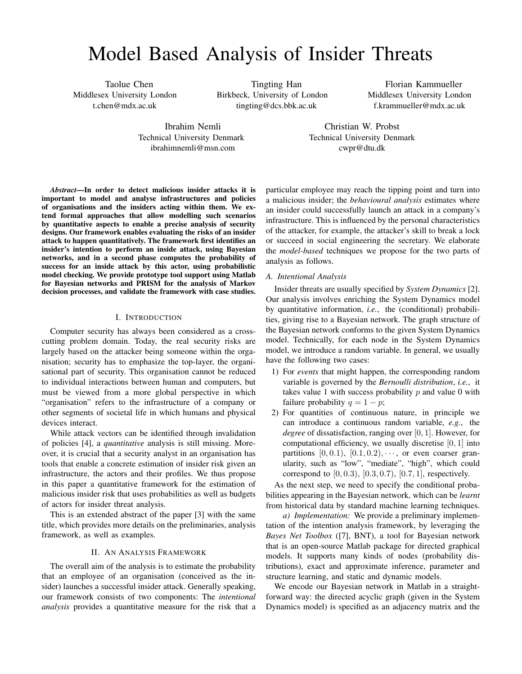## Model Based Analysis of Insider Threats

Taolue Chen Middlesex University London t.chen@mdx.ac.uk

Tingting Han Birkbeck, University of London tingting@dcs.bbk.ac.uk

Florian Kammueller Middlesex University London f.krammueller@mdx.ac.uk

Ibrahim Nemli Technical University Denmark ibrahimnemli@msn.com

Christian W. Probst Technical University Denmark cwpr@dtu.dk

*Abstract*—In order to detect malicious insider attacks it is important to model and analyse infrastructures and policies of organisations and the insiders acting within them. We extend formal approaches that allow modelling such scenarios by quantitative aspects to enable a precise analysis of security designs. Our framework enables evaluating the risks of an insider attack to happen quantitatively. The framework first identifies an insider's intention to perform an inside attack, using Bayesian networks, and in a second phase computes the probability of success for an inside attack by this actor, using probabilistic model checking. We provide prototype tool support using Matlab for Bayesian networks and PRISM for the analysis of Markov decision processes, and validate the framework with case studies.

#### I. INTRODUCTION

Computer security has always been considered as a crosscutting problem domain. Today, the real security risks are largely based on the attacker being someone within the organisation; security has to emphasize the top-layer, the organisational part of security. This organisation cannot be reduced to individual interactions between human and computers, but must be viewed from a more global perspective in which "organisation" refers to the infrastructure of a company or other segments of societal life in which humans and physical devices interact.

While attack vectors can be identified through invalidation of policies [4], a *quantitative* analysis is still missing. Moreover, it is crucial that a security analyst in an organisation has tools that enable a concrete estimation of insider risk given an infrastructure, the actors and their profiles. We thus propose in this paper a quantitative framework for the estimation of malicious insider risk that uses probabilities as well as budgets of actors for insider threat analysis.

This is an extended abstract of the paper [3] with the same title, which provides more details on the preliminaries, analysis framework, as well as examples.

#### II. AN ANALYSIS FRAMEWORK

The overall aim of the analysis is to estimate the probability that an employee of an organisation (conceived as the insider) launches a successful insider attack. Generally speaking, our framework consists of two components: The *intentional analysis* provides a quantitative measure for the risk that a

particular employee may reach the tipping point and turn into a malicious insider; the *behavioural analysis* estimates where an insider could successfully launch an attack in a company's infrastructure. This is influenced by the personal characteristics of the attacker, for example, the attacker's skill to break a lock or succeed in social engineering the secretary. We elaborate the *model-based* techniques we propose for the two parts of analysis as follows.

#### *A. Intentional Analysis*

Insider threats are usually specified by *System Dynamics* [2]. Our analysis involves enriching the System Dynamics model by quantitative information, *i.e.*, the (conditional) probabilities, giving rise to a Bayesian network. The graph structure of the Bayesian network conforms to the given System Dynamics model. Technically, for each node in the System Dynamics model, we introduce a random variable. In general, we usually have the following two cases:

- 1) For *events* that might happen, the corresponding random variable is governed by the *Bernoulli distribution*, *i.e.*, it takes value 1 with success probability  $p$  and value 0 with failure probability  $q = 1 - p$ ;
- 2) For quantities of continuous nature, in principle we can introduce a continuous random variable, *e.g.*, the *degree* of dissatisfaction, ranging over [0, 1]. However, for computational efficiency, we usually discretise  $[0, 1]$  into partitions  $[0, 0.1)$ ,  $[0.1, 0.2)$ ,  $\cdots$ , or even coarser granularity, such as "low", "mediate", "high", which could correspond to  $[0, 0.3), [0.3, 0.7), [0.7, 1]$ , respectively.

As the next step, we need to specify the conditional probabilities appearing in the Bayesian network, which can be *learnt* from historical data by standard machine learning techniques.

*a) Implementation:* We provide a preliminary implementation of the intention analysis framework, by leveraging the *Bayes Net Toolbox* ([7], BNT), a tool for Bayesian network that is an open-source Matlab package for directed graphical models. It supports many kinds of nodes (probability distributions), exact and approximate inference, parameter and structure learning, and static and dynamic models.

We encode our Bayesian network in Matlab in a straightforward way: the directed acyclic graph (given in the System Dynamics model) is specified as an adjacency matrix and the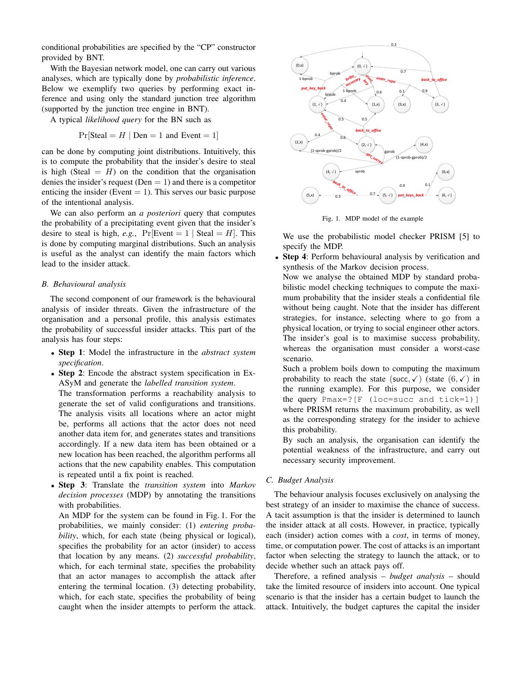conditional probabilities are specified by the "CP" constructor provided by BNT.

With the Bayesian network model, one can carry out various analyses, which are typically done by *probabilistic inference*. Below we exemplify two queries by performing exact inference and using only the standard junction tree algorithm (supported by the junction tree engine in BNT).

A typical *likelihood query* for the BN such as

$$
Pr[Steal = H | Den = 1 and Event = 1]
$$

can be done by computing joint distributions. Intuitively, this is to compute the probability that the insider's desire to steal is high (Steal  $= H$ ) on the condition that the organisation denies the insider's request (Den  $= 1$ ) and there is a competitor enticing the insider (Event  $= 1$ ). This serves our basic purpose of the intentional analysis.

We can also perform an *a posteriori* query that computes the probability of a precipitating event given that the insider's desire to steal is high, *e.g.*,  $Pr[Event = 1 | Steal = H]$ . This is done by computing marginal distributions. Such an analysis is useful as the analyst can identify the main factors which lead to the insider attack.

#### *B. Behavioural analysis*

The second component of our framework is the behavioural analysis of insider threats. Given the infrastructure of the organisation and a personal profile, this analysis estimates the probability of successful insider attacks. This part of the analysis has four steps:

- Step 1: Model the infrastructure in the *abstract system specification*.
- Step 2: Encode the abstract system specification in Ex-ASyM and generate the *labelled transition system*. The transformation performs a reachability analysis to generate the set of valid configurations and transitions. The analysis visits all locations where an actor might be, performs all actions that the actor does not need another data item for, and generates states and transitions accordingly. If a new data item has been obtained or a new location has been reached, the algorithm performs all actions that the new capability enables. This computation is repeated until a fix point is reached.
- Step 3: Translate the *transition system* into *Markov decision processes* (MDP) by annotating the transitions with probabilities.

An MDP for the system can be found in Fig. 1. For the probabilities, we mainly consider: (1) *entering probability*, which, for each state (being physical or logical), specifies the probability for an actor (insider) to access that location by any means. (2) *successful probability*, which, for each terminal state, specifies the probability that an actor manages to accomplish the attack after entering the terminal location. (3) detecting probability, which, for each state, specifies the probability of being caught when the insider attempts to perform the attack.



Fig. 1. MDP model of the example

We use the probabilistic model checker PRISM [5] to specify the MDP.

• Step 4: Perform behavioural analysis by verification and synthesis of the Markov decision process.

Now we analyse the obtained MDP by standard probabilistic model checking techniques to compute the maximum probability that the insider steals a confidential file without being caught. Note that the insider has different strategies, for instance, selecting where to go from a physical location, or trying to social engineer other actors. The insider's goal is to maximise success probability, whereas the organisation must consider a worst-case scenario.

Such a problem boils down to computing the maximum probability to reach the state (succ,  $\checkmark$ ) (state (6,  $\checkmark$ ) in the running example). For this purpose, we consider the query  $Pmax=?[ $F$  (loc=succ and tick=1)]$ where PRISM returns the maximum probability, as well as the corresponding strategy for the insider to achieve this probability.

By such an analysis, the organisation can identify the potential weakness of the infrastructure, and carry out necessary security improvement.

#### *C. Budget Analysis*

The behaviour analysis focuses exclusively on analysing the best strategy of an insider to maximise the chance of success. A tacit assumption is that the insider is determined to launch the insider attack at all costs. However, in practice, typically each (insider) action comes with a *cost*, in terms of money, time, or computation power. The cost of attacks is an important factor when selecting the strategy to launch the attack, or to decide whether such an attack pays off.

Therefore, a refined analysis – *budget analysis* – should take the limited resource of insiders into account. One typical scenario is that the insider has a certain budget to launch the attack. Intuitively, the budget captures the capital the insider